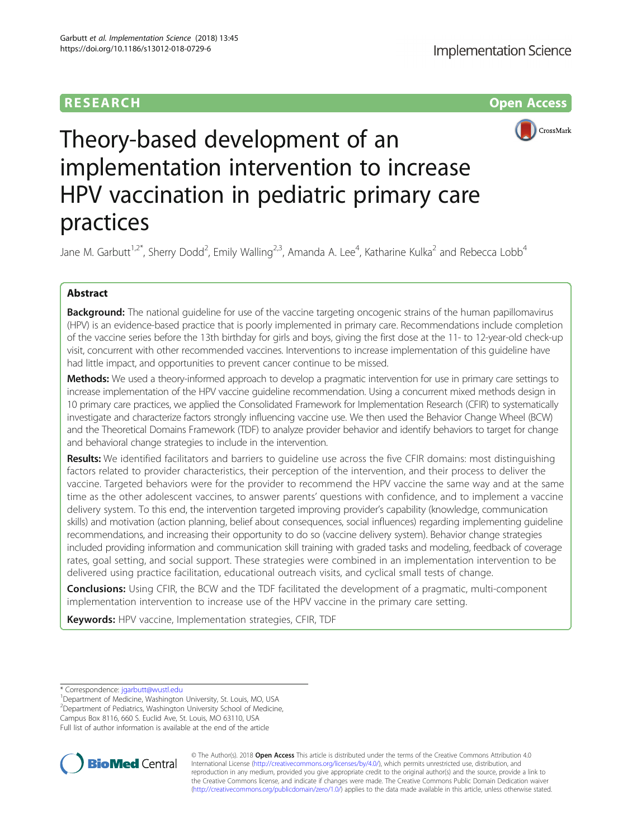# **RESEARCH CHILD CONTROL** CONTROL CONTROL CONTROL CONTROL CONTROL CONTROL CONTROL CONTROL CONTROL CONTROL CONTROL CONTROL CONTROL CONTROL CONTROL CONTROL CONTROL CONTROL CONTROL CONTROL CONTROL CONTROL CONTROL CONTROL CONTR



# Theory-based development of an implementation intervention to increase HPV vaccination in pediatric primary care practices

Jane M. Garbutt<sup>1,2\*</sup>, Sherry Dodd<sup>2</sup>, Emily Walling<sup>2,3</sup>, Amanda A. Lee<sup>4</sup>, Katharine Kulka<sup>2</sup> and Rebecca Lobb<sup>4</sup>

# Abstract

Background: The national guideline for use of the vaccine targeting oncogenic strains of the human papillomavirus (HPV) is an evidence-based practice that is poorly implemented in primary care. Recommendations include completion of the vaccine series before the 13th birthday for girls and boys, giving the first dose at the 11- to 12-year-old check-up visit, concurrent with other recommended vaccines. Interventions to increase implementation of this guideline have had little impact, and opportunities to prevent cancer continue to be missed.

Methods: We used a theory-informed approach to develop a pragmatic intervention for use in primary care settings to increase implementation of the HPV vaccine guideline recommendation. Using a concurrent mixed methods design in 10 primary care practices, we applied the Consolidated Framework for Implementation Research (CFIR) to systematically investigate and characterize factors strongly influencing vaccine use. We then used the Behavior Change Wheel (BCW) and the Theoretical Domains Framework (TDF) to analyze provider behavior and identify behaviors to target for change and behavioral change strategies to include in the intervention.

Results: We identified facilitators and barriers to guideline use across the five CFIR domains: most distinguishing factors related to provider characteristics, their perception of the intervention, and their process to deliver the vaccine. Targeted behaviors were for the provider to recommend the HPV vaccine the same way and at the same time as the other adolescent vaccines, to answer parents' questions with confidence, and to implement a vaccine delivery system. To this end, the intervention targeted improving provider's capability (knowledge, communication skills) and motivation (action planning, belief about consequences, social influences) regarding implementing guideline recommendations, and increasing their opportunity to do so (vaccine delivery system). Behavior change strategies included providing information and communication skill training with graded tasks and modeling, feedback of coverage rates, goal setting, and social support. These strategies were combined in an implementation intervention to be delivered using practice facilitation, educational outreach visits, and cyclical small tests of change.

**Conclusions:** Using CFIR, the BCW and the TDF facilitated the development of a pragmatic, multi-component implementation intervention to increase use of the HPV vaccine in the primary care setting.

Keywords: HPV vaccine, Implementation strategies, CFIR, TDF

\* Correspondence: [jgarbutt@wustl.edu](mailto:jgarbutt@wustl.edu) <sup>1</sup>

Department of Medicine, Washington University, St. Louis, MO, USA <sup>2</sup> Department of Pediatrics, Washington University School of Medicine, Campus Box 8116, 660 S. Euclid Ave, St. Louis, MO 63110, USA

Full list of author information is available at the end of the article



© The Author(s). 2018 Open Access This article is distributed under the terms of the Creative Commons Attribution 4.0 International License [\(http://creativecommons.org/licenses/by/4.0/](http://creativecommons.org/licenses/by/4.0/)), which permits unrestricted use, distribution, and reproduction in any medium, provided you give appropriate credit to the original author(s) and the source, provide a link to the Creative Commons license, and indicate if changes were made. The Creative Commons Public Domain Dedication waiver [\(http://creativecommons.org/publicdomain/zero/1.0/](http://creativecommons.org/publicdomain/zero/1.0/)) applies to the data made available in this article, unless otherwise stated.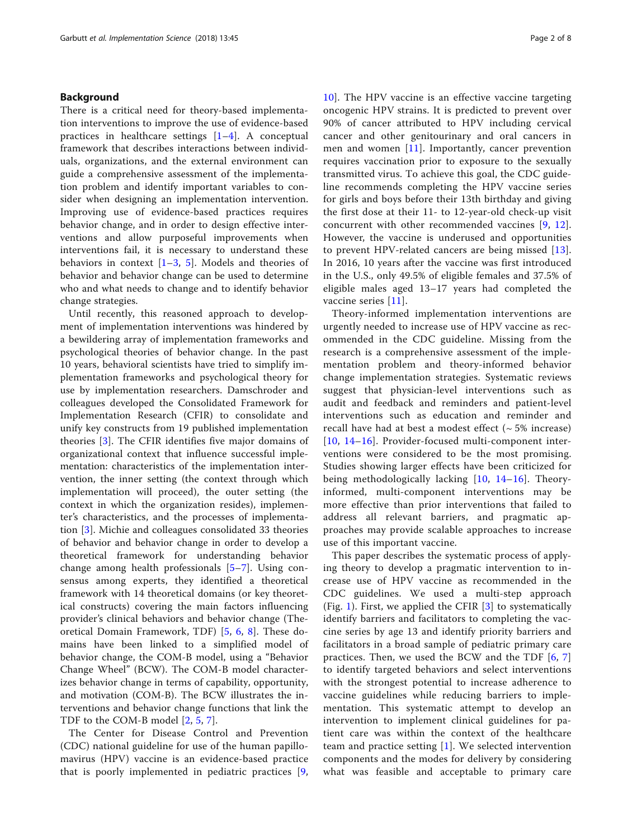## Background

There is a critical need for theory-based implementation interventions to improve the use of evidence-based practices in healthcare settings  $[1-4]$  $[1-4]$  $[1-4]$  $[1-4]$ . A conceptual framework that describes interactions between individuals, organizations, and the external environment can guide a comprehensive assessment of the implementation problem and identify important variables to consider when designing an implementation intervention. Improving use of evidence-based practices requires behavior change, and in order to design effective interventions and allow purposeful improvements when interventions fail, it is necessary to understand these behaviors in context  $[1-3, 5]$  $[1-3, 5]$  $[1-3, 5]$  $[1-3, 5]$  $[1-3, 5]$ . Models and theories of behavior and behavior change can be used to determine who and what needs to change and to identify behavior change strategies.

Until recently, this reasoned approach to development of implementation interventions was hindered by a bewildering array of implementation frameworks and psychological theories of behavior change. In the past 10 years, behavioral scientists have tried to simplify implementation frameworks and psychological theory for use by implementation researchers. Damschroder and colleagues developed the Consolidated Framework for Implementation Research (CFIR) to consolidate and unify key constructs from 19 published implementation theories [[3\]](#page-7-0). The CFIR identifies five major domains of organizational context that influence successful implementation: characteristics of the implementation intervention, the inner setting (the context through which implementation will proceed), the outer setting (the context in which the organization resides), implementer's characteristics, and the processes of implementation [[3\]](#page-7-0). Michie and colleagues consolidated 33 theories of behavior and behavior change in order to develop a theoretical framework for understanding behavior change among health professionals [[5](#page-7-0)–[7](#page-7-0)]. Using consensus among experts, they identified a theoretical framework with 14 theoretical domains (or key theoretical constructs) covering the main factors influencing provider's clinical behaviors and behavior change (Theoretical Domain Framework, TDF) [\[5](#page-7-0), [6](#page-7-0), [8\]](#page-7-0). These domains have been linked to a simplified model of behavior change, the COM-B model, using a "Behavior Change Wheel" (BCW). The COM-B model characterizes behavior change in terms of capability, opportunity, and motivation (COM-B). The BCW illustrates the interventions and behavior change functions that link the TDF to the COM-B model [\[2](#page-7-0), [5,](#page-7-0) [7\]](#page-7-0).

The Center for Disease Control and Prevention (CDC) national guideline for use of the human papillomavirus (HPV) vaccine is an evidence-based practice that is poorly implemented in pediatric practices [\[9](#page-7-0),

[10\]](#page-7-0). The HPV vaccine is an effective vaccine targeting oncogenic HPV strains. It is predicted to prevent over 90% of cancer attributed to HPV including cervical cancer and other genitourinary and oral cancers in men and women [[11](#page-7-0)]. Importantly, cancer prevention requires vaccination prior to exposure to the sexually transmitted virus. To achieve this goal, the CDC guideline recommends completing the HPV vaccine series for girls and boys before their 13th birthday and giving the first dose at their 11- to 12-year-old check-up visit concurrent with other recommended vaccines [\[9,](#page-7-0) [12](#page-7-0)]. However, the vaccine is underused and opportunities to prevent HPV-related cancers are being missed [[13](#page-7-0)]. In 2016, 10 years after the vaccine was first introduced in the U.S., only 49.5% of eligible females and 37.5% of eligible males aged 13–17 years had completed the vaccine series [[11\]](#page-7-0).

Theory-informed implementation interventions are urgently needed to increase use of HPV vaccine as recommended in the CDC guideline. Missing from the research is a comprehensive assessment of the implementation problem and theory-informed behavior change implementation strategies. Systematic reviews suggest that physician-level interventions such as audit and feedback and reminders and patient-level interventions such as education and reminder and recall have had at best a modest effect  $({\sim} 5\%$  increase) [[10](#page-7-0), [14](#page-7-0)–[16\]](#page-7-0). Provider-focused multi-component interventions were considered to be the most promising. Studies showing larger effects have been criticized for being methodologically lacking [[10,](#page-7-0) [14](#page-7-0)–[16\]](#page-7-0). Theoryinformed, multi-component interventions may be more effective than prior interventions that failed to address all relevant barriers, and pragmatic approaches may provide scalable approaches to increase use of this important vaccine.

This paper describes the systematic process of applying theory to develop a pragmatic intervention to increase use of HPV vaccine as recommended in the CDC guidelines. We used a multi-step approach (Fig. [1](#page-2-0)). First, we applied the CFIR [\[3](#page-7-0)] to systematically identify barriers and facilitators to completing the vaccine series by age 13 and identify priority barriers and facilitators in a broad sample of pediatric primary care practices. Then, we used the BCW and the TDF  $[6, 7]$  $[6, 7]$  $[6, 7]$  $[6, 7]$ to identify targeted behaviors and select interventions with the strongest potential to increase adherence to vaccine guidelines while reducing barriers to implementation. This systematic attempt to develop an intervention to implement clinical guidelines for patient care was within the context of the healthcare team and practice setting [[1\]](#page-7-0). We selected intervention components and the modes for delivery by considering what was feasible and acceptable to primary care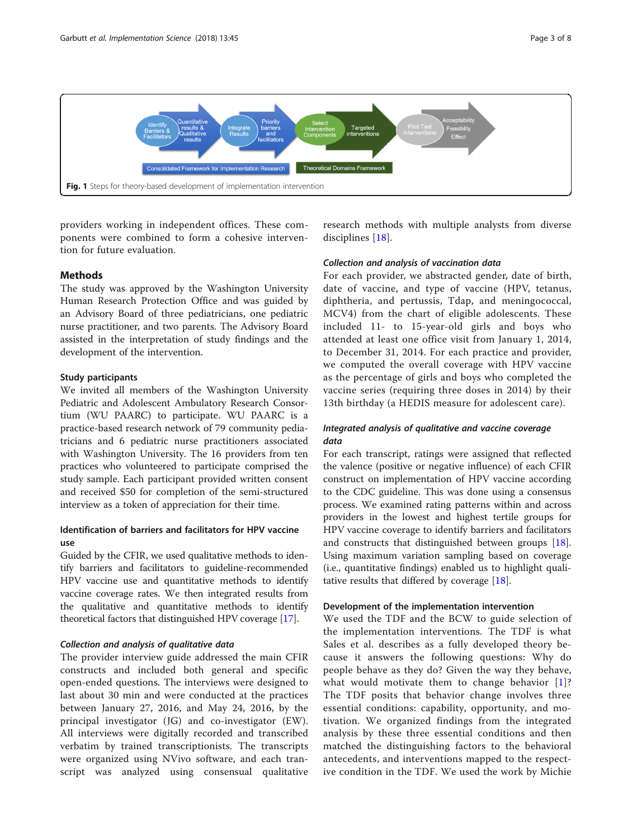<span id="page-2-0"></span>

providers working in independent offices. These components were combined to form a cohesive intervention for future evaluation.

### Methods

The study was approved by the Washington University Human Research Protection Office and was guided by an Advisory Board of three pediatricians, one pediatric nurse practitioner, and two parents. The Advisory Board assisted in the interpretation of study findings and the development of the intervention.

#### Study participants

We invited all members of the Washington University Pediatric and Adolescent Ambulatory Research Consortium (WU PAARC) to participate. WU PAARC is a practice-based research network of 79 community pediatricians and 6 pediatric nurse practitioners associated with Washington University. The 16 providers from ten practices who volunteered to participate comprised the study sample. Each participant provided written consent and received \$50 for completion of the semi-structured interview as a token of appreciation for their time.

## Identification of barriers and facilitators for HPV vaccine use

Guided by the CFIR, we used qualitative methods to identify barriers and facilitators to guideline-recommended HPV vaccine use and quantitative methods to identify vaccine coverage rates. We then integrated results from the qualitative and quantitative methods to identify theoretical factors that distinguished HPV coverage [\[17\]](#page-7-0).

### Collection and analysis of qualitative data

The provider interview guide addressed the main CFIR constructs and included both general and specific open-ended questions. The interviews were designed to last about 30 min and were conducted at the practices between January 27, 2016, and May 24, 2016, by the principal investigator (JG) and co-investigator (EW). All interviews were digitally recorded and transcribed verbatim by trained transcriptionists. The transcripts were organized using NVivo software, and each transcript was analyzed using consensual qualitative research methods with multiple analysts from diverse disciplines [\[18](#page-7-0)].

### Collection and analysis of vaccination data

For each provider, we abstracted gender, date of birth, date of vaccine, and type of vaccine (HPV, tetanus, diphtheria, and pertussis, Tdap, and meningococcal, MCV4) from the chart of eligible adolescents. These included 11- to 15-year-old girls and boys who attended at least one office visit from January 1, 2014, to December 31, 2014. For each practice and provider, we computed the overall coverage with HPV vaccine as the percentage of girls and boys who completed the vaccine series (requiring three doses in 2014) by their 13th birthday (a HEDIS measure for adolescent care).

## Integrated analysis of qualitative and vaccine coverage data

For each transcript, ratings were assigned that reflected the valence (positive or negative influence) of each CFIR construct on implementation of HPV vaccine according to the CDC guideline. This was done using a consensus process. We examined rating patterns within and across providers in the lowest and highest tertile groups for HPV vaccine coverage to identify barriers and facilitators and constructs that distinguished between groups [\[18](#page-7-0)]. Using maximum variation sampling based on coverage (i.e., quantitative findings) enabled us to highlight qualitative results that differed by coverage [[18\]](#page-7-0).

## Development of the implementation intervention

We used the TDF and the BCW to guide selection of the implementation interventions. The TDF is what Sales et al. describes as a fully developed theory because it answers the following questions: Why do people behave as they do? Given the way they behave, what would motivate them to change behavior [\[1](#page-7-0)]? The TDF posits that behavior change involves three essential conditions: capability, opportunity, and motivation. We organized findings from the integrated analysis by these three essential conditions and then matched the distinguishing factors to the behavioral antecedents, and interventions mapped to the respective condition in the TDF. We used the work by Michie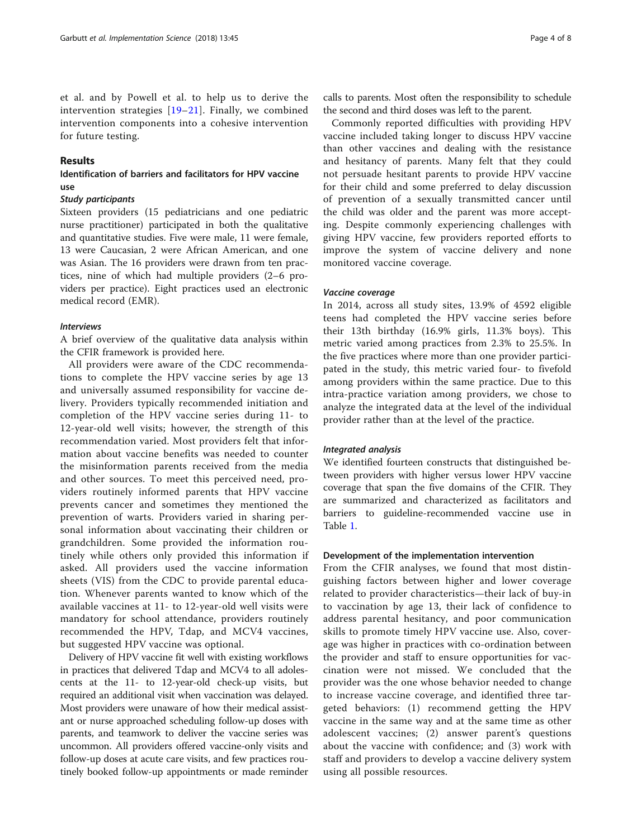et al. and by Powell et al. to help us to derive the intervention strategies [[19](#page-7-0)–[21\]](#page-7-0). Finally, we combined intervention components into a cohesive intervention for future testing.

## Results

## Identification of barriers and facilitators for HPV vaccine use

## Study participants

Sixteen providers (15 pediatricians and one pediatric nurse practitioner) participated in both the qualitative and quantitative studies. Five were male, 11 were female, 13 were Caucasian, 2 were African American, and one was Asian. The 16 providers were drawn from ten practices, nine of which had multiple providers (2–6 providers per practice). Eight practices used an electronic medical record (EMR).

#### Interviews

A brief overview of the qualitative data analysis within the CFIR framework is provided here.

All providers were aware of the CDC recommendations to complete the HPV vaccine series by age 13 and universally assumed responsibility for vaccine delivery. Providers typically recommended initiation and completion of the HPV vaccine series during 11- to 12-year-old well visits; however, the strength of this recommendation varied. Most providers felt that information about vaccine benefits was needed to counter the misinformation parents received from the media and other sources. To meet this perceived need, providers routinely informed parents that HPV vaccine prevents cancer and sometimes they mentioned the prevention of warts. Providers varied in sharing personal information about vaccinating their children or grandchildren. Some provided the information routinely while others only provided this information if asked. All providers used the vaccine information sheets (VIS) from the CDC to provide parental education. Whenever parents wanted to know which of the available vaccines at 11- to 12-year-old well visits were mandatory for school attendance, providers routinely recommended the HPV, Tdap, and MCV4 vaccines, but suggested HPV vaccine was optional.

Delivery of HPV vaccine fit well with existing workflows in practices that delivered Tdap and MCV4 to all adolescents at the 11- to 12-year-old check-up visits, but required an additional visit when vaccination was delayed. Most providers were unaware of how their medical assistant or nurse approached scheduling follow-up doses with parents, and teamwork to deliver the vaccine series was uncommon. All providers offered vaccine-only visits and follow-up doses at acute care visits, and few practices routinely booked follow-up appointments or made reminder calls to parents. Most often the responsibility to schedule the second and third doses was left to the parent.

Commonly reported difficulties with providing HPV vaccine included taking longer to discuss HPV vaccine than other vaccines and dealing with the resistance and hesitancy of parents. Many felt that they could not persuade hesitant parents to provide HPV vaccine for their child and some preferred to delay discussion of prevention of a sexually transmitted cancer until the child was older and the parent was more accepting. Despite commonly experiencing challenges with giving HPV vaccine, few providers reported efforts to improve the system of vaccine delivery and none monitored vaccine coverage.

#### Vaccine coverage

In 2014, across all study sites, 13.9% of 4592 eligible teens had completed the HPV vaccine series before their 13th birthday (16.9% girls, 11.3% boys). This metric varied among practices from 2.3% to 25.5%. In the five practices where more than one provider participated in the study, this metric varied four- to fivefold among providers within the same practice. Due to this intra-practice variation among providers, we chose to analyze the integrated data at the level of the individual provider rather than at the level of the practice.

## Integrated analysis

We identified fourteen constructs that distinguished between providers with higher versus lower HPV vaccine coverage that span the five domains of the CFIR. They are summarized and characterized as facilitators and barriers to guideline-recommended vaccine use in Table [1.](#page-4-0)

#### Development of the implementation intervention

From the CFIR analyses, we found that most distinguishing factors between higher and lower coverage related to provider characteristics—their lack of buy-in to vaccination by age 13, their lack of confidence to address parental hesitancy, and poor communication skills to promote timely HPV vaccine use. Also, coverage was higher in practices with co-ordination between the provider and staff to ensure opportunities for vaccination were not missed. We concluded that the provider was the one whose behavior needed to change to increase vaccine coverage, and identified three targeted behaviors: (1) recommend getting the HPV vaccine in the same way and at the same time as other adolescent vaccines; (2) answer parent's questions about the vaccine with confidence; and (3) work with staff and providers to develop a vaccine delivery system using all possible resources.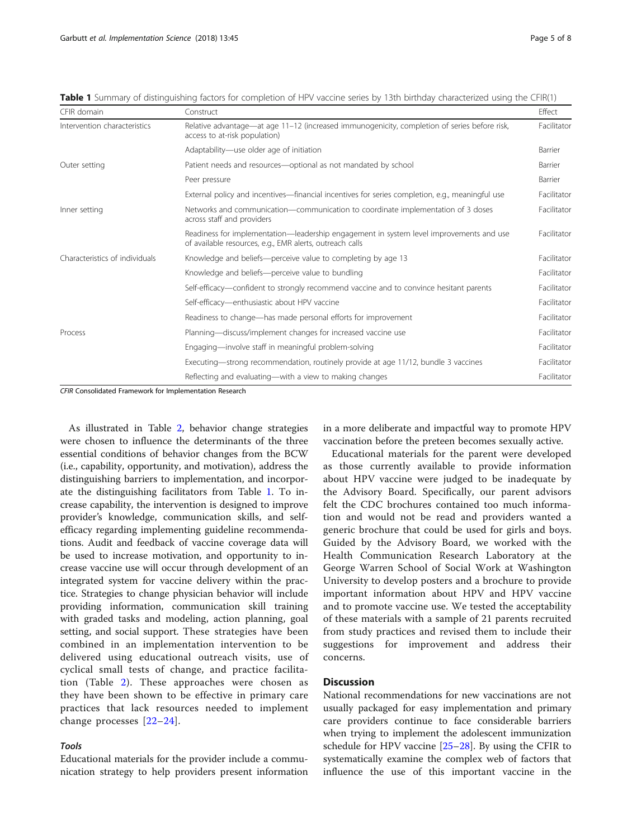| CFIR domain                    | Construct                                                                                                                                           | Effect      |
|--------------------------------|-----------------------------------------------------------------------------------------------------------------------------------------------------|-------------|
| Intervention characteristics   | Relative advantage—at age 11-12 (increased immunogenicity, completion of series before risk,<br>access to at-risk population)                       |             |
|                                | Adaptability-use older age of initiation                                                                                                            | Barrier     |
| Outer setting                  | Patient needs and resources-optional as not mandated by school                                                                                      | Barrier     |
|                                | Peer pressure                                                                                                                                       |             |
|                                | External policy and incentives-financial incentives for series completion, e.g., meaningful use                                                     | Facilitator |
| Inner setting                  | Networks and communication—communication to coordinate implementation of 3 doses<br>across staff and providers                                      |             |
|                                | Readiness for implementation—leadership engagement in system level improvements and use<br>of available resources, e.g., EMR alerts, outreach calls | Facilitator |
| Characteristics of individuals | Knowledge and beliefs-perceive value to completing by age 13                                                                                        | Facilitator |
|                                | Knowledge and beliefs—perceive value to bundling                                                                                                    | Facilitator |
|                                | Self-efficacy—confident to strongly recommend vaccine and to convince hesitant parents                                                              | Facilitator |
|                                | Self-efficacy-enthusiastic about HPV vaccine                                                                                                        | Facilitator |
|                                | Readiness to change—has made personal efforts for improvement                                                                                       | Facilitator |
| Process                        | Planning-discuss/implement changes for increased vaccine use                                                                                        | Facilitator |
|                                | Engaging-involve staff in meaningful problem-solving                                                                                                | Facilitator |
|                                | Executing—strong recommendation, routinely provide at age 11/12, bundle 3 vaccines                                                                  | Facilitator |

<span id="page-4-0"></span>Table 1 Summary of distinguishing factors for completion of HPV vaccine series by 13th birthday characterized using the CFIR(1)

CFIR Consolidated Framework for Implementation Research

As illustrated in Table [2,](#page-5-0) behavior change strategies were chosen to influence the determinants of the three essential conditions of behavior changes from the BCW (i.e., capability, opportunity, and motivation), address the distinguishing barriers to implementation, and incorporate the distinguishing facilitators from Table 1. To increase capability, the intervention is designed to improve provider's knowledge, communication skills, and selfefficacy regarding implementing guideline recommendations. Audit and feedback of vaccine coverage data will be used to increase motivation, and opportunity to increase vaccine use will occur through development of an integrated system for vaccine delivery within the practice. Strategies to change physician behavior will include providing information, communication skill training with graded tasks and modeling, action planning, goal setting, and social support. These strategies have been combined in an implementation intervention to be delivered using educational outreach visits, use of cyclical small tests of change, and practice facilitation (Table [2](#page-5-0)). These approaches were chosen as they have been shown to be effective in primary care practices that lack resources needed to implement change processes [[22](#page-7-0)–[24](#page-7-0)].

## Tools

Educational materials for the provider include a communication strategy to help providers present information in a more deliberate and impactful way to promote HPV vaccination before the preteen becomes sexually active.

Reflecting and evaluating—with a view to making changes Facilitator Facilitator

Educational materials for the parent were developed as those currently available to provide information about HPV vaccine were judged to be inadequate by the Advisory Board. Specifically, our parent advisors felt the CDC brochures contained too much information and would not be read and providers wanted a generic brochure that could be used for girls and boys. Guided by the Advisory Board, we worked with the Health Communication Research Laboratory at the George Warren School of Social Work at Washington University to develop posters and a brochure to provide important information about HPV and HPV vaccine and to promote vaccine use. We tested the acceptability of these materials with a sample of 21 parents recruited from study practices and revised them to include their suggestions for improvement and address their concerns.

## **Discussion**

National recommendations for new vaccinations are not usually packaged for easy implementation and primary care providers continue to face considerable barriers when trying to implement the adolescent immunization schedule for HPV vaccine [\[25](#page-7-0)–[28\]](#page-7-0). By using the CFIR to systematically examine the complex web of factors that influence the use of this important vaccine in the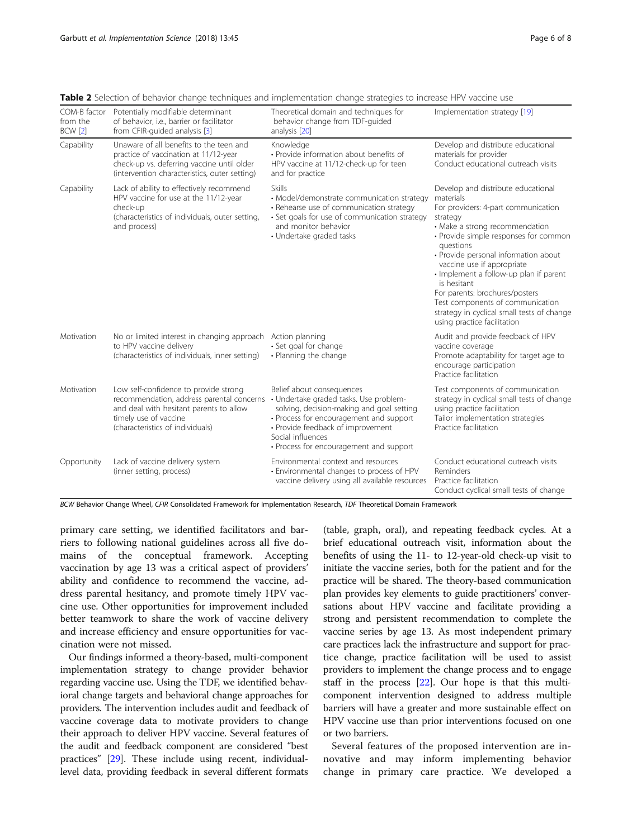| COM-B factor<br>from the<br><b>BCW</b> [2] | Potentially modifiable determinant<br>of behavior, i.e., barrier or facilitator<br>from CFIR-quided analysis [3]                                                                           | Theoretical domain and techniques for<br>behavior change from TDF-quided<br>analysis [20]                                                                                                                                                                        | Implementation strategy [19]                                                                                                                                                                                                                                                                                                                                                                                                                                                 |
|--------------------------------------------|--------------------------------------------------------------------------------------------------------------------------------------------------------------------------------------------|------------------------------------------------------------------------------------------------------------------------------------------------------------------------------------------------------------------------------------------------------------------|------------------------------------------------------------------------------------------------------------------------------------------------------------------------------------------------------------------------------------------------------------------------------------------------------------------------------------------------------------------------------------------------------------------------------------------------------------------------------|
| Capability                                 | Unaware of all benefits to the teen and<br>practice of vaccination at 11/12-year<br>check-up vs. deferring vaccine until older<br>(intervention characteristics, outer setting)            | Knowledge<br>· Provide information about benefits of<br>HPV vaccine at 11/12-check-up for teen<br>and for practice                                                                                                                                               | Develop and distribute educational<br>materials for provider<br>Conduct educational outreach visits                                                                                                                                                                                                                                                                                                                                                                          |
| Capability                                 | Lack of ability to effectively recommend<br>HPV vaccine for use at the 11/12-year<br>check-up<br>(characteristics of individuals, outer setting,<br>and process)                           | <b>Skills</b><br>• Model/demonstrate communication strategy<br>• Rehearse use of communication strategy<br>· Set goals for use of communication strategy<br>and monitor behavior<br>• Undertake graded tasks                                                     | Develop and distribute educational<br>materials<br>For providers: 4-part communication<br>strategy<br>• Make a strong recommendation<br>· Provide simple responses for common<br>questions<br>· Provide personal information about<br>vaccine use if appropriate<br>· Implement a follow-up plan if parent<br>is hesitant<br>For parents: brochures/posters<br>Test components of communication<br>strategy in cyclical small tests of change<br>using practice facilitation |
| Motivation                                 | No or limited interest in changing approach<br>to HPV vaccine delivery<br>(characteristics of individuals, inner setting)                                                                  | Action planning<br>• Set goal for change<br>• Planning the change                                                                                                                                                                                                | Audit and provide feedback of HPV<br>vaccine coverage<br>Promote adaptability for target age to<br>encourage participation<br>Practice facilitation                                                                                                                                                                                                                                                                                                                          |
| Motivation                                 | Low self-confidence to provide strong<br>recommendation, address parental concerns<br>and deal with hesitant parents to allow<br>timely use of vaccine<br>(characteristics of individuals) | Belief about consequences<br>· Undertake graded tasks. Use problem-<br>solving, decision-making and goal setting<br>• Process for encouragement and support<br>• Provide feedback of improvement<br>Social influences<br>• Process for encouragement and support | Test components of communication<br>strategy in cyclical small tests of change<br>using practice facilitation<br>Tailor implementation strategies<br>Practice facilitation                                                                                                                                                                                                                                                                                                   |
| Opportunity                                | Lack of vaccine delivery system<br>(inner setting, process)                                                                                                                                | Environmental context and resources<br>• Environmental changes to process of HPV<br>vaccine delivery using all available resources                                                                                                                               | Conduct educational outreach visits<br>Reminders<br>Practice facilitation<br>Conduct cyclical small tests of change                                                                                                                                                                                                                                                                                                                                                          |

<span id="page-5-0"></span>Table 2 Selection of behavior change techniques and implementation change strategies to increase HPV vaccine use

BCW Behavior Change Wheel, CFIR Consolidated Framework for Implementation Research, TDF Theoretical Domain Framework

primary care setting, we identified facilitators and barriers to following national guidelines across all five domains of the conceptual framework. Accepting vaccination by age 13 was a critical aspect of providers' ability and confidence to recommend the vaccine, address parental hesitancy, and promote timely HPV vaccine use. Other opportunities for improvement included better teamwork to share the work of vaccine delivery and increase efficiency and ensure opportunities for vaccination were not missed.

Our findings informed a theory-based, multi-component implementation strategy to change provider behavior regarding vaccine use. Using the TDF, we identified behavioral change targets and behavioral change approaches for providers. The intervention includes audit and feedback of vaccine coverage data to motivate providers to change their approach to deliver HPV vaccine. Several features of the audit and feedback component are considered "best practices" [[29](#page-7-0)]. These include using recent, individuallevel data, providing feedback in several different formats

(table, graph, oral), and repeating feedback cycles. At a brief educational outreach visit, information about the benefits of using the 11- to 12-year-old check-up visit to initiate the vaccine series, both for the patient and for the practice will be shared. The theory-based communication plan provides key elements to guide practitioners' conversations about HPV vaccine and facilitate providing a strong and persistent recommendation to complete the vaccine series by age 13. As most independent primary care practices lack the infrastructure and support for practice change, practice facilitation will be used to assist providers to implement the change process and to engage staff in the process [\[22\]](#page-7-0). Our hope is that this multicomponent intervention designed to address multiple barriers will have a greater and more sustainable effect on HPV vaccine use than prior interventions focused on one or two barriers.

Several features of the proposed intervention are innovative and may inform implementing behavior change in primary care practice. We developed a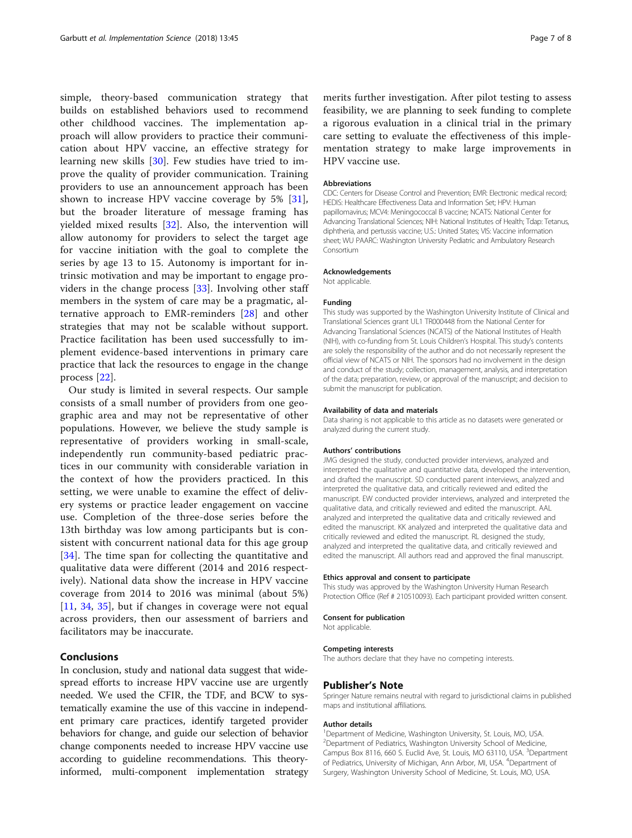simple, theory-based communication strategy that builds on established behaviors used to recommend other childhood vaccines. The implementation approach will allow providers to practice their communication about HPV vaccine, an effective strategy for learning new skills [[30\]](#page-7-0). Few studies have tried to improve the quality of provider communication. Training providers to use an announcement approach has been shown to increase HPV vaccine coverage by 5% [\[31](#page-7-0)], but the broader literature of message framing has yielded mixed results [\[32](#page-7-0)]. Also, the intervention will allow autonomy for providers to select the target age for vaccine initiation with the goal to complete the series by age 13 to 15. Autonomy is important for intrinsic motivation and may be important to engage providers in the change process [\[33](#page-7-0)]. Involving other staff members in the system of care may be a pragmatic, alternative approach to EMR-reminders [[28\]](#page-7-0) and other strategies that may not be scalable without support. Practice facilitation has been used successfully to implement evidence-based interventions in primary care practice that lack the resources to engage in the change process [[22\]](#page-7-0).

Our study is limited in several respects. Our sample consists of a small number of providers from one geographic area and may not be representative of other populations. However, we believe the study sample is representative of providers working in small-scale, independently run community-based pediatric practices in our community with considerable variation in the context of how the providers practiced. In this setting, we were unable to examine the effect of delivery systems or practice leader engagement on vaccine use. Completion of the three-dose series before the 13th birthday was low among participants but is consistent with concurrent national data for this age group [[34](#page-7-0)]. The time span for collecting the quantitative and qualitative data were different (2014 and 2016 respectively). National data show the increase in HPV vaccine coverage from 2014 to 2016 was minimal (about 5%) [[11](#page-7-0), [34](#page-7-0), [35\]](#page-7-0), but if changes in coverage were not equal across providers, then our assessment of barriers and facilitators may be inaccurate.

## Conclusions

In conclusion, study and national data suggest that widespread efforts to increase HPV vaccine use are urgently needed. We used the CFIR, the TDF, and BCW to systematically examine the use of this vaccine in independent primary care practices, identify targeted provider behaviors for change, and guide our selection of behavior change components needed to increase HPV vaccine use according to guideline recommendations. This theoryinformed, multi-component implementation strategy

merits further investigation. After pilot testing to assess feasibility, we are planning to seek funding to complete a rigorous evaluation in a clinical trial in the primary care setting to evaluate the effectiveness of this implementation strategy to make large improvements in HPV vaccine use.

#### **Abbreviations**

CDC: Centers for Disease Control and Prevention; EMR: Electronic medical record; HEDIS: Healthcare Effectiveness Data and Information Set; HPV: Human papillomavirus; MCV4: Meningococcal B vaccine; NCATS: National Center for Advancing Translational Sciences; NIH: National Institutes of Health; Tdap: Tetanus, diphtheria, and pertussis vaccine; U.S.: United States; VIS: Vaccine information sheet; WU PAARC: Washington University Pediatric and Ambulatory Research Consortium

#### Acknowledgements

Not applicable.

#### Funding

This study was supported by the Washington University Institute of Clinical and Translational Sciences grant UL1 TR000448 from the National Center for Advancing Translational Sciences (NCATS) of the National Institutes of Health (NIH), with co-funding from St. Louis Children's Hospital. This study's contents are solely the responsibility of the author and do not necessarily represent the official view of NCATS or NIH. The sponsors had no involvement in the design and conduct of the study; collection, management, analysis, and interpretation of the data; preparation, review, or approval of the manuscript; and decision to submit the manuscript for publication.

#### Availability of data and materials

Data sharing is not applicable to this article as no datasets were generated or analyzed during the current study.

#### Authors' contributions

JMG designed the study, conducted provider interviews, analyzed and interpreted the qualitative and quantitative data, developed the intervention, and drafted the manuscript. SD conducted parent interviews, analyzed and interpreted the qualitative data, and critically reviewed and edited the manuscript. EW conducted provider interviews, analyzed and interpreted the qualitative data, and critically reviewed and edited the manuscript. AAL analyzed and interpreted the qualitative data and critically reviewed and edited the manuscript. KK analyzed and interpreted the qualitative data and critically reviewed and edited the manuscript. RL designed the study, analyzed and interpreted the qualitative data, and critically reviewed and edited the manuscript. All authors read and approved the final manuscript.

#### Ethics approval and consent to participate

This study was approved by the Washington University Human Research Protection Office (Ref # 210510093). Each participant provided written consent.

#### Consent for publication

Not applicable.

#### Competing interests

The authors declare that they have no competing interests.

#### Publisher's Note

Springer Nature remains neutral with regard to jurisdictional claims in published maps and institutional affiliations.

#### Author details

<sup>1</sup>Department of Medicine, Washington University, St. Louis, MO, USA. 2 Department of Pediatrics, Washington University School of Medicine, Campus Box 8116, 660 S. Euclid Ave, St. Louis, MO 63110, USA. <sup>3</sup>Department of Pediatrics, University of Michigan, Ann Arbor, MI, USA. <sup>4</sup>Department of Surgery, Washington University School of Medicine, St. Louis, MO, USA.